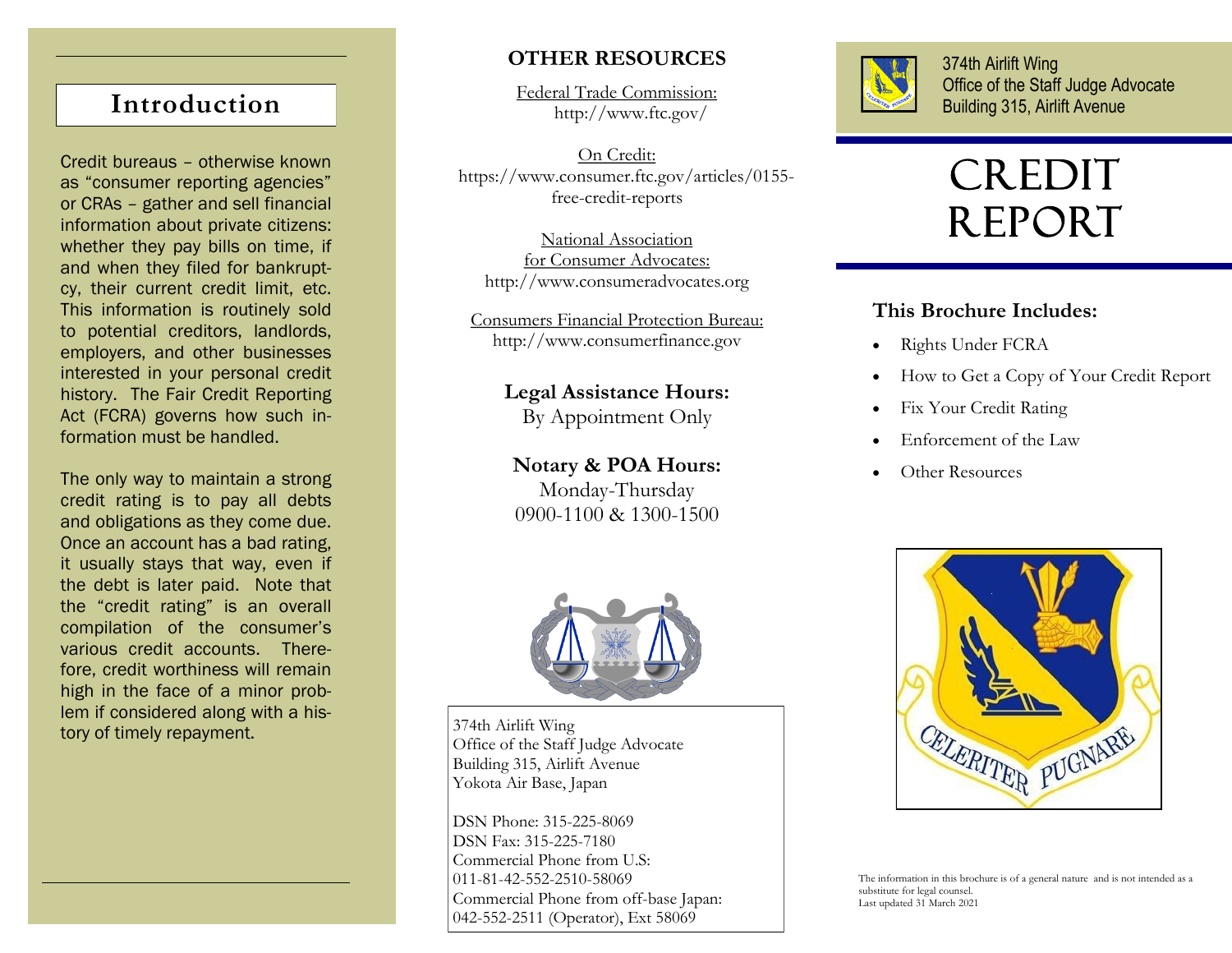Credit bureaus – otherwise known as "consumer reporting agencies" or CRAs – gather and sell financial information about private citizens: whether they pay bills on time, if and when they filed for bankruptcy, their current credit limit, etc. This information is routinely sold to potential creditors, landlords, employers, and other businesses interested in your personal credit history. The Fair Credit Reporting Act (FCRA) governs how such information must be handled.

The only way to maintain a strong credit rating is to pay all debts and obligations as they come due. Once an account has a bad rating, it usually stays that way, even if the debt is later paid. Note that the "credit rating" is an overall compilation of the consumer's various credit accounts. Therefore, credit worthiness will remain high in the face of a minor problem if considered along with a history of timely repayment.

## **OTHER RESOURCES**

Federal Trade Commission: http://www.ftc.gov/ **Introduction Building 315, Airlift Avenue** 

> On Credit: https://www.consumer.ftc.gov/articles/0155 free-credit-reports

National Association for Consumer Advocates: http://www.consumeradvocates.org

Consumers Financial Protection Bureau: http://www.consumerfinance.gov

> **Legal Assistance Hours:** By Appointment Only

**Notary & POA Hours:** Monday-Thursday 0900-1100 & 1300-1500



374th Airlift Wing Office of the Staff Judge Advocate Building 315, Airlift Avenue Yokota Air Base, Japan

DSN Phone: 315-225-8069 DSN Fax: 315-225-7180 Commercial Phone from U.S: 011-81-42-552-2510-58069 Commercial Phone from off-base Japan: 042-552-2511 (Operator), Ext 58069



374th Airlift Wing Office of the Staff Judge Advocate

# CREDIT REPORT

### **This Brochure Includes:**

- Rights Under FCRA
- How to Get a Copy of Your Credit Report
- Fix Your Credit Rating
- Enforcement of the Law
- Other Resources



The information in this brochure is of a general nature and is not intended as a substitute for legal counsel. Last updated 31 March 2021